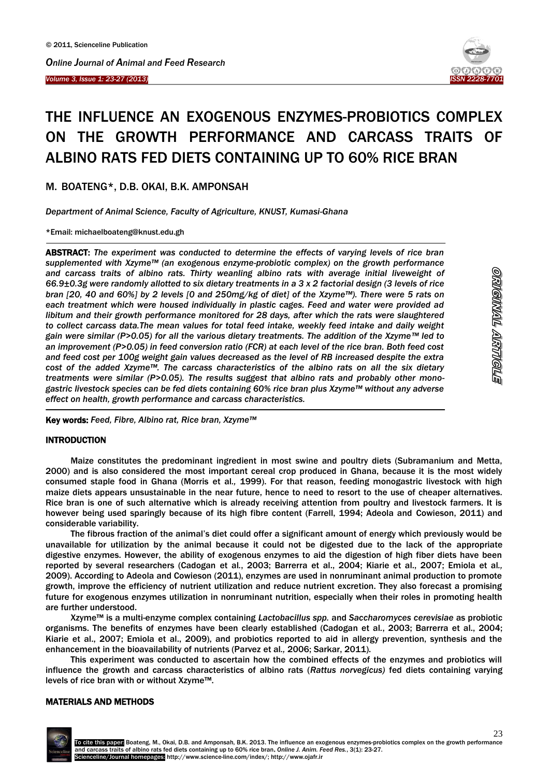

# THE INFLUENCE AN EXOGENOUS ENZYMES-PROBIOTICS COMPLEX ON THE GROWTH PERFORMANCE AND CARCASS TRAITS OF ALBINO RATS FED DIETS CONTAINING UP TO 60% RICE BRAN

M. BOATENG\*, D.B. OKAI, B.K. AMPONSAH

*Department of Animal Science, Faculty of Agriculture, KNUST, Kumasi-Ghana*

\*Email: michaelboateng@knust.edu.gh

ABSTRACT: *The experiment was conducted to determine the effects of varying levels of rice bran supplemented with Xzyme™ (an exogenous enzyme-probiotic complex) on the growth performance and carcass traits of albino rats. Thirty weanling albino rats with average initial liveweight of 66.9±0.3g were randomly allotted to six dietary treatments in a 3 x 2 factorial design (3 levels of rice bran [20, 40 and 60%] by 2 levels [0 and 250mg/kg of diet] of the Xzyme™). There were 5 rats on each treatment which were housed individually in plastic cages. Feed and water were provided ad*  libitum and their growth performance monitored for 28 days, after which the rats were slaughtered *to collect carcass data.The mean values for total feed intake, weekly feed intake and daily weight gain were similar (P>0.05) for all the various dietary treatments. The addition of the Xzyme™ led to an improvement (P>0.05) in feed conversion ratio (FCR) at each level of the rice bran. Both feed cost and feed cost per 100g weight gain values decreased as the level of RB increased despite the extra cost of the added Xzyme™. The carcass characteristics of the albino rats on all the six dietary treatments were similar (P>0.05). The results suggest that albino rats and probably other monogastric livestock species can be fed diets containing 60% rice bran plus Xzyme™ without any adverse effect on health, growth performance and carcass characteristics.* 

Key words: *Feed, Fibre, Albino rat, Rice bran, Xzyme™*

## **INTRODUCTION**

 $\overline{a}$ 

 $\overline{\phantom{a}}$ 

Maize constitutes the predominant ingredient in most swine and poultry diets (Subramanium and Metta, 2000) and is also considered the most important cereal crop produced in Ghana, because it is the most widely consumed staple food in Ghana (Morris et al*.,* 1999). For that reason, feeding monogastric livestock with high maize diets appears unsustainable in the near future, hence to need to resort to the use of cheaper alternatives. Rice bran is one of such alternative which is already receiving attention from poultry and livestock farmers. It is however being used sparingly because of its high fibre content (Farrell, 1994; Adeola and Cowieson, 2011) and considerable variability.

The fibrous fraction of the animal's diet could offer a significant amount of energy which previously would be unavailable for utilization by the animal because it could not be digested due to the lack of the appropriate digestive enzymes. However, the ability of exogenous enzymes to aid the digestion of high fiber diets have been reported by several researchers (Cadogan et al*.*, 2003; Barrerra et al., 2004; Kiarie et al., 2007; Emiola et al*.,*  2009). According to Adeola and Cowieson (2011), enzymes are used in nonruminant animal production to promote growth, improve the efficiency of nutrient utilization and reduce nutrient excretion. They also forecast a promising future for exogenous enzymes utilization in nonruminant nutrition, especially when their roles in promoting health are further understood.

Xzyme™ is a multi-enzyme complex containing *Lactobacillus spp.* and *Saccharomyces cerevisiae* as probiotic organisms. The benefits of enzymes have been clearly established (Cadogan et al*.*, 2003; Barrerra et al., 2004; Kiarie et al., 2007; Emiola et al., 2009), and probiotics reported to aid in allergy prevention, synthesis and the enhancement in the bioavailability of nutrients (Parvez et al*.,* 2006; Sarkar, 2011).

This experiment was conducted to ascertain how the combined effects of the enzymes and probiotics will influence the growth and carcass characteristics of albino rats (*Rattus norvegicus)* fed diets containing varying levels of rice bran with or without Xzyme™.

### MATERIALS AND METHODS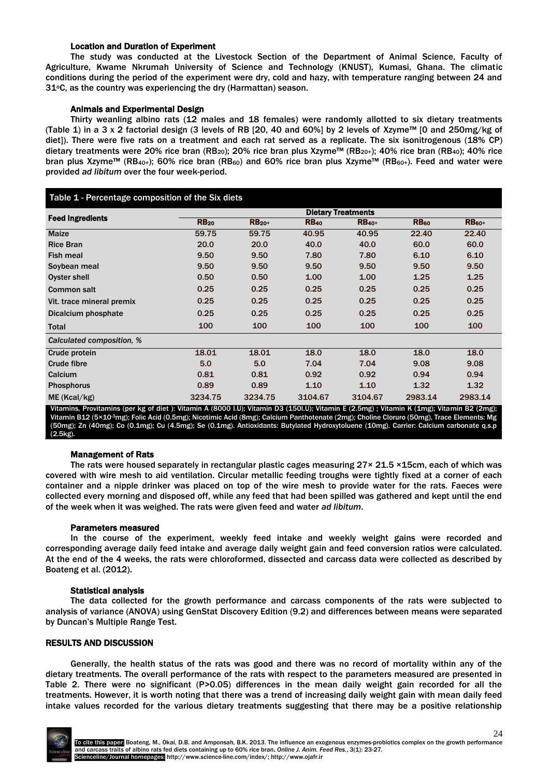## Location and Duration of Experiment

The study was conducted at the Livestock Section of the Department of Animal Science, Faculty of Agriculture, Kwame Nkrumah University of Science and Technology (KNUST), Kumasi, Ghana. The climatic conditions during the period of the experiment were dry, cold and hazy, with temperature ranging between 24 and 31oC, as the country was experiencing the dry (Harmattan) season.

## Animals and Experimental Design

Thirty weanling albino rats (12 males and 18 females) were randomly allotted to six dietary treatments (Table 1) in a 3 x 2 factorial design (3 levels of RB [20, 40 and 60%] by 2 levels of Xzyme™ [0 and 250mg/kg of diet]). There were five rats on a treatment and each rat served as a replicate. The six isonitrogenous (18% CP) dietary treatments were 20% rice bran (RB<sub>20</sub>); 20% rice bran plus Xzyme<sup>TM</sup> (RB<sub>20+</sub>); 40% rice bran (RB<sub>40</sub>); 40% rice bran plus Xzyme™ (RB<sub>40+</sub>); 60% rice bran (RB<sub>60</sub>) and 60% rice bran plus Xzyme™ (RB<sub>60+</sub>). Feed and water were provided *ad libitum* over the four week-period.

## Table 1 - Percentage composition of the Six diets

|                           | <b>Dietary Treatments</b> |         |                        |                         |                  |         |  |  |  |
|---------------------------|---------------------------|---------|------------------------|-------------------------|------------------|---------|--|--|--|
| <b>Feed Ingredients</b>   | RB <sub>20</sub>          | $RB20+$ | <b>RB<sub>40</sub></b> | <b>RB<sub>40+</sub></b> | RB <sub>60</sub> | $RB60+$ |  |  |  |
| <b>Maize</b>              | 59.75                     | 59.75   | 40.95                  | 40.95                   | 22.40            | 22.40   |  |  |  |
| <b>Rice Bran</b>          | 20.0                      | 20.0    | 40.0                   | 40.0                    | 60.0             | 60.0    |  |  |  |
| <b>Fish meal</b>          | 9.50                      | 9.50    | 7.80                   | 7.80                    | 6.10             | 6.10    |  |  |  |
| Soybean meal              | 9.50                      | 9.50    | 9.50                   | 9.50                    | 9.50             | 9.50    |  |  |  |
| Oyster shell              | 0.50                      | 0.50    | 1.00                   | 1.00                    | 1.25             | 1.25    |  |  |  |
| <b>Common salt</b>        | 0.25                      | 0.25    | 0.25                   | 0.25                    | 0.25             | 0.25    |  |  |  |
| Vit. trace mineral premix | 0.25                      | 0.25    | 0.25                   | 0.25                    | 0.25             | 0.25    |  |  |  |
| Dicalcium phosphate       | 0.25                      | 0.25    | 0.25                   | 0.25                    | 0.25             | 0.25    |  |  |  |
| Total                     | 100                       | 100     | 100                    | 100                     | 100              | 100     |  |  |  |
| Calculated composition, % |                           |         |                        |                         |                  |         |  |  |  |
| Crude protein             | 18.01                     | 18.01   | 18.0                   | 18.0                    | 18.0             | 18.0    |  |  |  |
| Crude fibre               | 5.0                       | 5.0     | 7.04                   | 7.04                    | 9.08             | 9.08    |  |  |  |
| Calcium                   | 0.81                      | 0.81    | 0.92                   | 0.92                    | 0.94             | 0.94    |  |  |  |
| <b>Phosphorus</b>         | 0.89                      | 0.89    | 1.10                   | 1.10                    | 1.32             | 1.32    |  |  |  |
| ME(Kcal/kg)               | 3234.75                   | 3234.75 | 3104.67                | 3104.67                 | 2983.14          | 2983.14 |  |  |  |

Vitamins, Provitamins (per kg of diet ): Vitamin A (8000 I.U); Vitamin D3 (150I.U); Vitamin E (2.5mg) ; Vitamin K (1mg); Vitamin B2 (2mg); Vitamin B12 (5×10<sup>.3</sup>mg); Folic Acid (0.5mg); Nicotimic Acid (8mg); Calcium Panthotenate (2mg); Choline Cloruro (50mg), Trace Elements: Mg (50mg); Zn (40mg); Co (0.1mg); Cu (4.5mg); Se (0.1mg). Antioxidants: Butylated Hydroxytoluene (10mg). Carrier: Calcium carbonate q.s.p (2.5kg).

#### Management of Rats

The rats were housed separately in rectangular plastic cages measuring 27× 21.5 ×15cm, each of which was covered with wire mesh to aid ventilation. Circular metallic feeding troughs were tightly fixed at a corner of each container and a nipple drinker was placed on top of the wire mesh to provide water for the rats. Faeces were collected every morning and disposed off, while any feed that had been spilled was gathered and kept until the end of the week when it was weighed. The rats were given feed and water *ad libitum*.

#### Parameters measured

In the course of the experiment, weekly feed intake and weekly weight gains were recorded and corresponding average daily feed intake and average daily weight gain and feed conversion ratios were calculated. At the end of the 4 weeks, the rats were chloroformed, dissected and carcass data were collected as described by Boateng et al. (2012).

#### Statistical analysis

The data collected for the growth performance and carcass components of the rats were subjected to analysis of variance (ANOVA) using GenStat Discovery Edition (9.2) and differences between means were separated by Duncan's Multiple Range Test.

## RESULTS AND DISCUSSION

Generally, the health status of the rats was good and there was no record of mortality within any of the dietary treatments. The overall performance of the rats with respect to the parameters measured are presented in Table 2. There were no significant (P>0.05) differences in the mean daily weight gain recorded for all the treatments. However, it is worth noting that there was a trend of increasing daily weight gain with mean daily feed intake values recorded for the various dietary treatments suggesting that there may be a positive relationship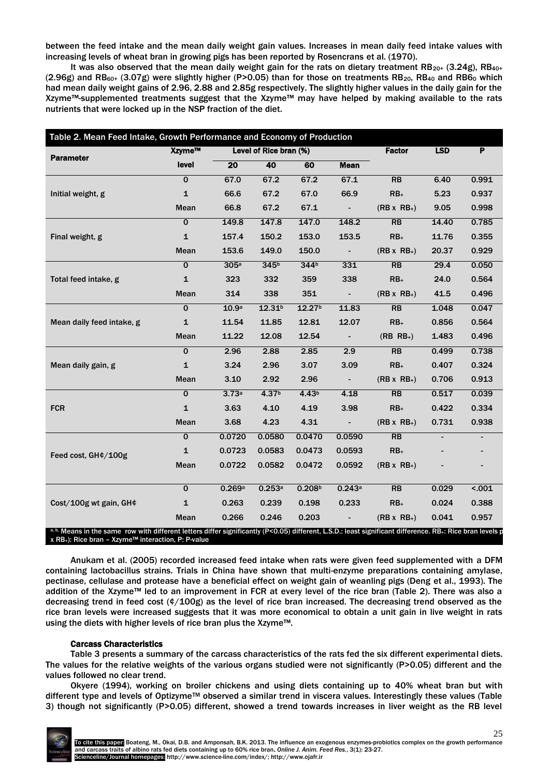between the feed intake and the mean daily weight gain values. Increases in mean daily feed intake values with increasing levels of wheat bran in growing pigs has been reported by Rosencrans et al. (1970).

It was also observed that the mean daily weight gain for the rats on dietary treatment RB<sub>20+</sub> (3.24g), RB<sub>40+</sub>  $(2.96g)$  and RB<sub>60+</sub>  $(3.07g)$  were slightly higher (P>0.05) than for those on treatments RB<sub>20</sub>, RB<sub>40</sub> and RB6<sub>0</sub> which had mean daily weight gains of 2.96, 2.88 and 2.85g respectively. The slightly higher values in the daily gain for the Xzyme™-supplemented treatments suggest that the Xzyme™ may have helped by making available to the rats nutrients that were locked up in the NSP fraction of the diet.

| <b>Parameter</b>          | Xzyme™         | Level of Rice bran (%) |                    |                    |                           | Factor             | <b>LSD</b>               | P     |
|---------------------------|----------------|------------------------|--------------------|--------------------|---------------------------|--------------------|--------------------------|-------|
|                           | level          | 20                     | 40                 | 60                 | <b>Mean</b>               |                    |                          |       |
|                           | $\mathbf 0$    | 67.0                   | 67.2               | 67.2               | 67.1                      | R <sub>B</sub>     | 6.40                     | 0.991 |
| Initial weight, g         | 1              | 66.6                   | 67.2               | 67.0               | 66.9                      | $RB+$              | 5.23                     | 0.937 |
|                           | Mean           | 66.8                   | 67.2               | 67.1               | $\sim 100$                | $(RB \times RB+)$  | 9.05                     | 0.998 |
|                           | $\mathbf{0}$   | 149.8                  | 147.8              | 147.0              | 148.2                     | R <sub>B</sub>     | 14.40                    | 0.785 |
| Final weight, g           | $\mathbf{1}$   | 157.4                  | 150.2              | 153.0              | 153.5                     | $RB+$              | 11.76                    | 0.355 |
|                           | Mean           | 153.6                  | 149.0              | 150.0              | $\mathbf{L}^{\text{max}}$ | $(RB \times RB_+)$ | 20.37                    | 0.929 |
| Total feed intake, g      | $\overline{0}$ | 305a                   | 345 <sup>b</sup>   | 344 <sup>b</sup>   | 331                       | RE                 | 29.4                     | 0.050 |
|                           | 1              | 323                    | 332                | 359                | 338                       | $RB_{+}$           | 24.0                     | 0.564 |
|                           | Mean           | 314                    | 338                | 351                | $\sim 100$                | $(RB \times RB_+)$ | 41.5                     | 0.496 |
|                           | $\mathbf 0$    | 10.9 <sup>a</sup>      | 12.31 <sup>b</sup> | 12.27 <sup>b</sup> | 11.83                     | <b>RB</b>          | 1.048                    | 0.047 |
| Mean daily feed intake, g | $\mathbf{1}$   | 11.54                  | 11.85              | 12.81              | 12.07                     | $RB_{+}$           | 0.856                    | 0.564 |
|                           | Mean           | 11.22                  | 12.08              | 12.54              | $\sim$                    | $(RB$ $RB+)$       | 1.483                    | 0.496 |
| Mean daily gain, g        | $\overline{0}$ | 2.96                   | 2.88               | 2.85               | 2.9                       | R <sub>B</sub>     | 0.499                    | 0.738 |
|                           | 1              | 3.24                   | 2.96               | 3.07               | 3.09                      | $RB+$              | 0.407                    | 0.324 |
|                           | Mean           | 3.10                   | 2.92               | 2.96               | $\sim$                    | $(RB \times RB_+)$ | 0.706                    | 0.913 |
|                           | $\overline{0}$ | 3.73a                  | 4.37 <sup>b</sup>  | 4.43 <sup>b</sup>  | 4.18                      | R <sub>B</sub>     | 0.517                    | 0.039 |
| <b>FCR</b>                | $\mathbf 1$    | 3.63                   | 4.10               | 4.19               | 3.98                      | $RB+$              | 0.422                    | 0.334 |
|                           | Mean           | 3.68                   | 4.23               | 4.31               | $\sim 100$                | $(RB \times RB_+)$ | 0.731                    | 0.938 |
| Feed cost, GH¢/100g       | $\overline{0}$ | 0.0720                 | 0.0580             | 0.0470             | 0.0590                    | <b>RB</b>          | $\overline{\phantom{a}}$ |       |
|                           | $\mathbf{1}$   | 0.0723                 | 0.0583             | 0.0473             | 0.0593                    | $RB+$              |                          |       |
|                           | Mean           | 0.0722                 | 0.0582             | 0.0472             | 0.0592                    | $(RB \times RB_+)$ |                          |       |
| Cost/100g wt gain, GH¢    | $\mathbf{0}$   | 0.269a                 | 0.253a             | 0.208 <sup>b</sup> | 0.243a                    | <b>RB</b>          | 0.029                    | 5.001 |
|                           | 1              | 0.263                  | 0.239              | 0.198              | 0.233                     | $RB_{+}$           | 0.024                    | 0.388 |
|                           | Mean           | 0.266                  | 0.246              | 0.203              | $\mathbf{r}$              | $(RB \times RB_+)$ | 0.041                    | 0.957 |

Anukam et al. (2005) recorded increased feed intake when rats were given feed supplemented with a DFM containing lactobacillus strains. Trials in China have shown that multi-enzyme preparations containing amylase, pectinase, cellulase and protease have a beneficial effect on weight gain of weanling pigs (Deng et al., 1993). The addition of the Xzyme™ led to an improvement in FCR at every level of the rice bran (Table 2). There was also a decreasing trend in feed cost (¢/100g) as the level of rice bran increased. The decreasing trend observed as the rice bran levels were increased suggests that it was more economical to obtain a unit gain in live weight in rats using the diets with higher levels of rice bran plus the Xzyme™.

#### Carcass Characteristics

Table 3 presents a summary of the carcass characteristics of the rats fed the six different experimental diets. The values for the relative weights of the various organs studied were not significantly (P>0.05) different and the values followed no clear trend.

Okyere (1994), working on broiler chickens and using diets containing up to 40% wheat bran but with different type and levels of OptizymeTM observed a similar trend in viscera values. Interestingly these values (Table 3) though not significantly (P>0.05) different, showed a trend towards increases in liver weight as the RB level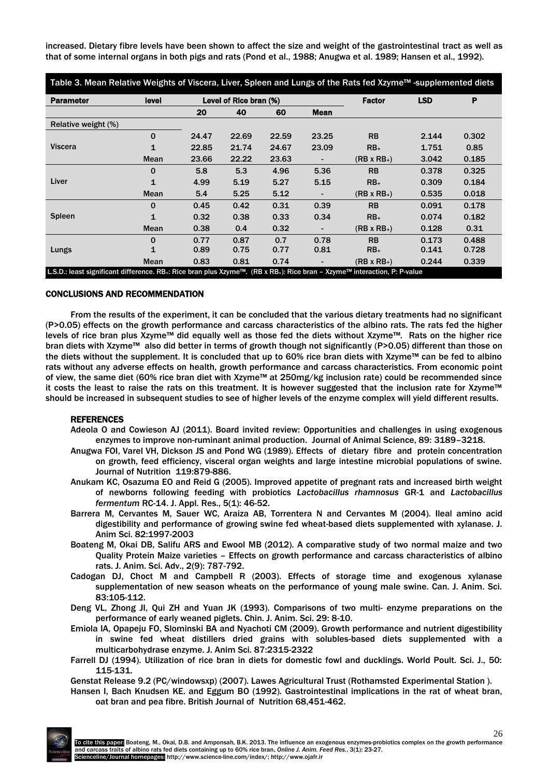increased. Dietary fibre levels have been shown to affect the size and weight of the gastrointestinal tract as well as that of some internal organs in both pigs and rats (Pond et al., 1988; Anugwa et al. 1989; Hansen et al., 1992).

| <b>Parameter</b>       | level        |       | Level of Rice bran (%) |       | <b>Factor</b> | <b>LSD</b>         | P     |       |
|------------------------|--------------|-------|------------------------|-------|---------------|--------------------|-------|-------|
|                        |              | 20    | 40                     | 60    | <b>Mean</b>   |                    |       |       |
| Relative weight (%)    |              |       |                        |       |               |                    |       |       |
|                        | $\mathbf{0}$ | 24.47 | 22.69                  | 22.59 | 23.25         | <b>RB</b>          | 2.144 | 0.302 |
| <b>Viscera</b>         | 1            | 22.85 | 21.74                  | 24.67 | 23.09         | $RB+$              | 1.751 | 0.85  |
|                        | Mean         | 23.66 | 22.22                  | 23.63 |               | $(RB \times RB_+)$ | 3.042 | 0.185 |
|                        | $\mathbf 0$  | 5.8   | 5.3                    | 4.96  | 5.36          | <b>RB</b>          | 0.378 | 0.325 |
| Liver<br><b>Spleen</b> | $\mathbf{1}$ | 4.99  | 5.19                   | 5.27  | 5.15          | $RB+$              | 0.309 | 0.184 |
|                        | Mean         | 5.4   | 5.25                   | 5.12  |               | $(RB \times RB_+)$ | 0.535 | 0.018 |
|                        | $\mathbf 0$  | 0.45  | 0.42                   | 0.31  | 0.39          | <b>RB</b>          | 0.091 | 0.178 |
|                        | $\mathbf{1}$ | 0.32  | 0.38                   | 0.33  | 0.34          | $RB+$              | 0.074 | 0.182 |
|                        | Mean         | 0.38  | 0.4                    | 0.32  |               | $(RB \times RB_+)$ | 0.128 | 0.31  |
|                        | 0            | 0.77  | 0.87                   | 0.7   | 0.78          | <b>RB</b>          | 0.173 | 0.488 |
| Lungs                  | $\mathbf{1}$ | 0.89  | 0.75                   | 0.77  | 0.81          | $RB_{+}$           | 0.141 | 0.728 |
|                        | Mean         | 0.83  | 0.81                   | 0.74  |               | $(RB \times RB_+)$ | 0.244 | 0.339 |

#### CONCLUSIONS AND RECOMMENDATION

From the results of the experiment, it can be concluded that the various dietary treatments had no significant (P>0.05) effects on the growth performance and carcass characteristics of the albino rats. The rats fed the higher levels of rice bran plus Xzyme™ did equally well as those fed the diets without Xzyme™. Rats on the higher rice bran diets with Xzyme™ also did better in terms of growth though not significantly (P>0.05) different than those on the diets without the supplement. It is concluded that up to 60% rice bran diets with Xzyme™ can be fed to albino rats without any adverse effects on health, growth performance and carcass characteristics. From economic point of view, the same diet (60% rice bran diet with Xzyme™ at 250mg/kg inclusion rate) could be recommended since it costs the least to raise the rats on this treatment. It is however suggested that the inclusion rate for Xzyme™ should be increased in subsequent studies to see of higher levels of the enzyme complex will yield different results.

#### REFERENCES

- Adeola O and Cowieson AJ (2011). Board invited review: Opportunities and challenges in using exogenous enzymes to improve non-ruminant animal production. Journal of Animal Science, 89: 3189–3218.
- Anugwa FOI, Varel VH, Dickson JS and Pond WG (1989). Effects of dietary fibre and protein concentration on growth, feed efficiency, visceral organ weights and large intestine microbial populations of swine. Journal of Nutrition 119:879-886.
- Anukam KC, Osazuma EO and Reid G (2005). Improved appetite of pregnant rats and increased birth weight of newborns following feeding with probiotics *Lactobacillus rhamnosus* GR-1 and *Lactobacillus fermentum* RC-14. J. Appl. Res., 5(1): 46-52.
- Barrera M, Cervantes M, Sauer WC, Araiza AB, Torrentera N and Cervantes M (2004). Ileal amino acid digestibility and performance of growing swine fed wheat-based diets supplemented with xylanase. J. Anim Sci. 82:1997-2003
- Boateng M, Okai DB, Salifu ARS and Ewool MB (2012). A comparative study of two normal maize and two Quality Protein Maize varieties – Effects on growth performance and carcass characteristics of albino rats. J. Anim. Sci. Adv., 2(9): 787-792.
- Cadogan DJ, Choct M and Campbell R (2003). Effects of storage time and exogenous xylanase supplementation of new season wheats on the performance of young male swine. Can. J. Anim. Sci. 83:105-112.
- Deng VL, Zhong JI, Qui ZH and Yuan JK (1993). Comparisons of two multi- enzyme preparations on the performance of early weaned piglets. Chin. J. Anim. Sci. 29: 8-10.
- Emiola IA, Opapeju FO, Slominski BA and Nyachoti CM (2009). Growth performance and nutrient digestibility in swine fed wheat distillers dried grains with solubles-based diets supplemented with a multicarbohydrase enzyme. J. Anim Sci. 87:2315-2322
- Farrell DJ (1994). Utilization of rice bran in diets for domestic fowl and ducklings. World Poult. Sci. J., 50: 115-131.
- Genstat Release 9.2 (PC/windowsxp) (2007). Lawes Agricultural Trust (Rothamsted Experimental Station ).
- Hansen I, Bach Knudsen KE. and Eggum BO (1992). Gastrointestinal implications in the rat of wheat bran, oat bran and pea fibre. British Journal of Nutrition 68,451-462.